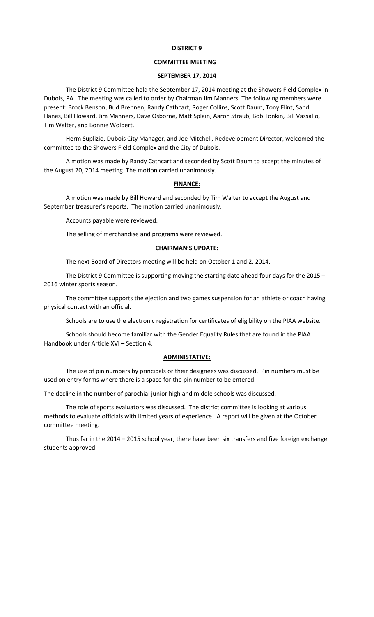# **DISTRICT 9**

## **COMMITTEE MEETING**

## **SEPTEMBER 17, 2014**

The District 9 Committee held the September 17, 2014 meeting at the Showers Field Complex in Dubois, PA. The meeting was called to order by Chairman Jim Manners. The following members were present: Brock Benson, Bud Brennen, Randy Cathcart, Roger Collins, Scott Daum, Tony Flint, Sandi Hanes, Bill Howard, Jim Manners, Dave Osborne, Matt Splain, Aaron Straub, Bob Tonkin, Bill Vassallo, Tim Walter, and Bonnie Wolbert.

Herm Suplizio, Dubois City Manager, and Joe Mitchell, Redevelopment Director, welcomed the committee to the Showers Field Complex and the City of Dubois.

A motion was made by Randy Cathcart and seconded by Scott Daum to accept the minutes of the August 20, 2014 meeting. The motion carried unanimously.

#### **FINANCE:**

A motion was made by Bill Howard and seconded by Tim Walter to accept the August and September treasurer's reports. The motion carried unanimously.

Accounts payable were reviewed.

The selling of merchandise and programs were reviewed.

## **CHAIRMAN'S UPDATE:**

The next Board of Directors meeting will be held on October 1 and 2, 2014.

The District 9 Committee is supporting moving the starting date ahead four days for the 2015 – 2016 winter sports season.

The committee supports the ejection and two games suspension for an athlete or coach having physical contact with an official.

Schools are to use the electronic registration for certificates of eligibility on the PIAA website.

Schools should become familiar with the Gender Equality Rules that are found in the PIAA Handbook under Article XVI – Section 4.

### **ADMINISTATIVE:**

The use of pin numbers by principals or their designees was discussed. Pin numbers must be used on entry forms where there is a space for the pin number to be entered.

The decline in the number of parochial junior high and middle schools was discussed.

The role of sports evaluators was discussed. The district committee is looking at various methods to evaluate officials with limited years of experience. A report will be given at the October committee meeting.

Thus far in the 2014 – 2015 school year, there have been six transfers and five foreign exchange students approved.